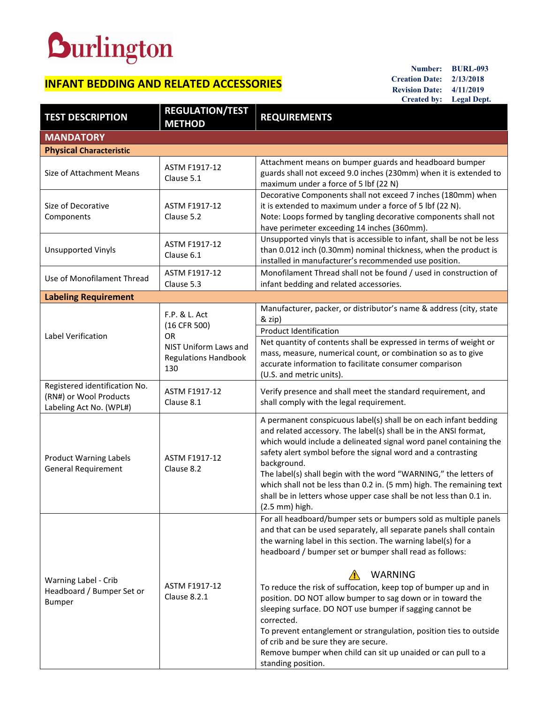## **Burlington**

## **INFANT BEDDING AND RELATED ACCESSORIES**

**Number: BURL-093 Creation Date: 2/13/2018 Revision Date: 4/11/2019 Created by: Legal Dept.**

| <b>TEST DESCRIPTION</b>                                                            | <b>REGULATION/TEST</b><br><b>METHOD</b>                                                             | <b>REQUIREMENTS</b>                                                                                                                                                                                                                                                                                                                                                                                                                                                                                                                                                                                                                                                                                 |
|------------------------------------------------------------------------------------|-----------------------------------------------------------------------------------------------------|-----------------------------------------------------------------------------------------------------------------------------------------------------------------------------------------------------------------------------------------------------------------------------------------------------------------------------------------------------------------------------------------------------------------------------------------------------------------------------------------------------------------------------------------------------------------------------------------------------------------------------------------------------------------------------------------------------|
| <b>MANDATORY</b>                                                                   |                                                                                                     |                                                                                                                                                                                                                                                                                                                                                                                                                                                                                                                                                                                                                                                                                                     |
| <b>Physical Characteristic</b>                                                     |                                                                                                     |                                                                                                                                                                                                                                                                                                                                                                                                                                                                                                                                                                                                                                                                                                     |
| Size of Attachment Means                                                           | ASTM F1917-12<br>Clause 5.1                                                                         | Attachment means on bumper guards and headboard bumper<br>guards shall not exceed 9.0 inches (230mm) when it is extended to<br>maximum under a force of 5 lbf (22 N)                                                                                                                                                                                                                                                                                                                                                                                                                                                                                                                                |
| Size of Decorative<br>Components                                                   | ASTM F1917-12<br>Clause 5.2                                                                         | Decorative Components shall not exceed 7 inches (180mm) when<br>it is extended to maximum under a force of 5 lbf (22 N).<br>Note: Loops formed by tangling decorative components shall not<br>have perimeter exceeding 14 inches (360mm).                                                                                                                                                                                                                                                                                                                                                                                                                                                           |
| <b>Unsupported Vinyls</b>                                                          | <b>ASTM F1917-12</b><br>Clause 6.1                                                                  | Unsupported vinyls that is accessible to infant, shall be not be less<br>than 0.012 inch (0.30mm) nominal thickness, when the product is<br>installed in manufacturer's recommended use position.                                                                                                                                                                                                                                                                                                                                                                                                                                                                                                   |
| Use of Monofilament Thread                                                         | ASTM F1917-12<br>Clause 5.3                                                                         | Monofilament Thread shall not be found / used in construction of<br>infant bedding and related accessories.                                                                                                                                                                                                                                                                                                                                                                                                                                                                                                                                                                                         |
| <b>Labeling Requirement</b>                                                        |                                                                                                     |                                                                                                                                                                                                                                                                                                                                                                                                                                                                                                                                                                                                                                                                                                     |
| Label Verification                                                                 | F.P. & L. Act<br>(16 CFR 500)<br>OR.<br>NIST Uniform Laws and<br><b>Regulations Handbook</b><br>130 | Manufacturer, packer, or distributor's name & address (city, state<br>& zip)                                                                                                                                                                                                                                                                                                                                                                                                                                                                                                                                                                                                                        |
|                                                                                    |                                                                                                     | <b>Product Identification</b>                                                                                                                                                                                                                                                                                                                                                                                                                                                                                                                                                                                                                                                                       |
|                                                                                    |                                                                                                     | Net quantity of contents shall be expressed in terms of weight or<br>mass, measure, numerical count, or combination so as to give<br>accurate information to facilitate consumer comparison<br>(U.S. and metric units).                                                                                                                                                                                                                                                                                                                                                                                                                                                                             |
| Registered identification No.<br>(RN#) or Wool Products<br>Labeling Act No. (WPL#) | ASTM F1917-12<br>Clause 8.1                                                                         | Verify presence and shall meet the standard requirement, and<br>shall comply with the legal requirement.                                                                                                                                                                                                                                                                                                                                                                                                                                                                                                                                                                                            |
| <b>Product Warning Labels</b><br><b>General Requirement</b>                        | ASTM F1917-12<br>Clause 8.2                                                                         | A permanent conspicuous label(s) shall be on each infant bedding<br>and related accessory. The label(s) shall be in the ANSI format,<br>which would include a delineated signal word panel containing the<br>safety alert symbol before the signal word and a contrasting<br>background.<br>The label(s) shall begin with the word "WARNING," the letters of<br>which shall not be less than 0.2 in. (5 mm) high. The remaining text<br>shall be in letters whose upper case shall be not less than 0.1 in.<br>$(2.5 \text{ mm})$ high.                                                                                                                                                             |
| Warning Label - Crib<br>Headboard / Bumper Set or<br>Bumper                        | ASTM F1917-12<br>Clause 8.2.1                                                                       | For all headboard/bumper sets or bumpers sold as multiple panels<br>and that can be used separately, all separate panels shall contain<br>the warning label in this section. The warning label(s) for a<br>headboard / bumper set or bumper shall read as follows:<br><b>WARNING</b><br>To reduce the risk of suffocation, keep top of bumper up and in<br>position. DO NOT allow bumper to sag down or in toward the<br>sleeping surface. DO NOT use bumper if sagging cannot be<br>corrected.<br>To prevent entanglement or strangulation, position ties to outside<br>of crib and be sure they are secure.<br>Remove bumper when child can sit up unaided or can pull to a<br>standing position. |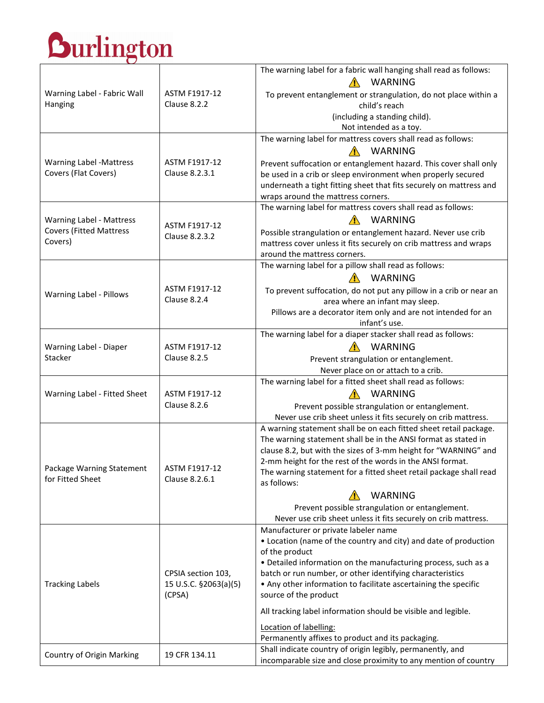## Durlington

|                                                                                                                                           |                                                       | The warning label for a fabric wall hanging shall read as follows:                                                |
|-------------------------------------------------------------------------------------------------------------------------------------------|-------------------------------------------------------|-------------------------------------------------------------------------------------------------------------------|
|                                                                                                                                           |                                                       | <b>WARNING</b>                                                                                                    |
| Warning Label - Fabric Wall                                                                                                               | ASTM F1917-12                                         | To prevent entanglement or strangulation, do not place within a                                                   |
| Hanging                                                                                                                                   | Clause 8.2.2                                          | child's reach                                                                                                     |
|                                                                                                                                           |                                                       | (including a standing child).                                                                                     |
|                                                                                                                                           |                                                       | Not intended as a toy.                                                                                            |
|                                                                                                                                           |                                                       | The warning label for mattress covers shall read as follows:                                                      |
|                                                                                                                                           |                                                       | $\bigwedge$<br>WARNING                                                                                            |
| <b>Warning Label -Mattress</b>                                                                                                            | ASTM F1917-12                                         | Prevent suffocation or entanglement hazard. This cover shall only                                                 |
| Covers (Flat Covers)                                                                                                                      | Clause 8.2.3.1                                        | be used in a crib or sleep environment when properly secured                                                      |
|                                                                                                                                           |                                                       | underneath a tight fitting sheet that fits securely on mattress and                                               |
|                                                                                                                                           |                                                       | wraps around the mattress corners.<br>The warning label for mattress covers shall read as follows:                |
|                                                                                                                                           |                                                       |                                                                                                                   |
| Warning Label - Mattress                                                                                                                  | ASTM F1917-12                                         | WARNING                                                                                                           |
| <b>Covers (Fitted Mattress</b>                                                                                                            | Clause 8.2.3.2                                        | Possible strangulation or entanglement hazard. Never use crib                                                     |
| Covers)                                                                                                                                   |                                                       | mattress cover unless it fits securely on crib mattress and wraps                                                 |
|                                                                                                                                           |                                                       | around the mattress corners.                                                                                      |
|                                                                                                                                           |                                                       | The warning label for a pillow shall read as follows:                                                             |
|                                                                                                                                           |                                                       | <b>WARNING</b>                                                                                                    |
| Warning Label - Pillows                                                                                                                   | ASTM F1917-12<br>Clause 8.2.4                         | To prevent suffocation, do not put any pillow in a crib or near an                                                |
|                                                                                                                                           |                                                       | area where an infant may sleep.                                                                                   |
|                                                                                                                                           |                                                       | Pillows are a decorator item only and are not intended for an<br>infant's use.                                    |
|                                                                                                                                           |                                                       | The warning label for a diaper stacker shall read as follows:                                                     |
|                                                                                                                                           | ASTM F1917-12                                         | WARNING                                                                                                           |
|                                                                                                                                           | Clause 8.2.5                                          |                                                                                                                   |
|                                                                                                                                           |                                                       | Prevent strangulation or entanglement.<br>Never place on or attach to a crib.                                     |
| Warning Label - Fitted Sheet                                                                                                              | ASTM F1917-12<br>Clause 8.2.6                         | The warning label for a fitted sheet shall read as follows:                                                       |
|                                                                                                                                           |                                                       | WARNING                                                                                                           |
|                                                                                                                                           |                                                       |                                                                                                                   |
|                                                                                                                                           |                                                       | Prevent possible strangulation or entanglement.<br>Never use crib sheet unless it fits securely on crib mattress. |
|                                                                                                                                           |                                                       | A warning statement shall be on each fitted sheet retail package.                                                 |
|                                                                                                                                           |                                                       | The warning statement shall be in the ANSI format as stated in                                                    |
|                                                                                                                                           |                                                       | clause 8.2, but with the sizes of 3-mm height for "WARNING" and                                                   |
|                                                                                                                                           |                                                       | 2-mm height for the rest of the words in the ANSI format.                                                         |
|                                                                                                                                           | ASTM F1917-12                                         | The warning statement for a fitted sheet retail package shall read                                                |
|                                                                                                                                           | Clause 8.2.6.1                                        | as follows:                                                                                                       |
|                                                                                                                                           |                                                       | <b>WARNING</b>                                                                                                    |
|                                                                                                                                           |                                                       | Prevent possible strangulation or entanglement.                                                                   |
|                                                                                                                                           |                                                       | Never use crib sheet unless it fits securely on crib mattress.                                                    |
|                                                                                                                                           | CPSIA section 103,<br>15 U.S.C. §2063(a)(5)<br>(CPSA) | Manufacturer or private labeler name                                                                              |
|                                                                                                                                           |                                                       | • Location (name of the country and city) and date of production                                                  |
|                                                                                                                                           |                                                       | of the product                                                                                                    |
|                                                                                                                                           |                                                       | • Detailed information on the manufacturing process, such as a                                                    |
|                                                                                                                                           |                                                       | batch or run number, or other identifying characteristics                                                         |
|                                                                                                                                           |                                                       | • Any other information to facilitate ascertaining the specific                                                   |
|                                                                                                                                           |                                                       | source of the product                                                                                             |
|                                                                                                                                           |                                                       | All tracking label information should be visible and legible.                                                     |
|                                                                                                                                           |                                                       | Location of labelling:                                                                                            |
|                                                                                                                                           |                                                       | Permanently affixes to product and its packaging.                                                                 |
| Warning Label - Diaper<br>Stacker<br>Package Warning Statement<br>for Fitted Sheet<br><b>Tracking Labels</b><br>Country of Origin Marking | 19 CFR 134.11                                         | Shall indicate country of origin legibly, permanently, and                                                        |
|                                                                                                                                           |                                                       | incomparable size and close proximity to any mention of country                                                   |